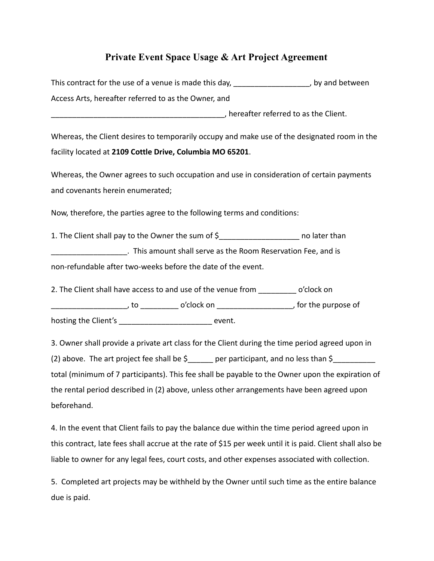## **Private Event Space Usage & Art Project Agreement**

This contract for the use of a venue is made this day, example 20 years of between Access Arts, hereafter referred to as the Owner, and

\_\_\_\_\_\_\_\_\_\_\_\_\_\_\_\_\_\_\_\_\_\_\_\_\_\_\_\_\_\_\_\_\_\_\_\_\_\_\_\_\_, hereafter referred to as the Client.

Whereas, the Client desires to temporarily occupy and make use of the designated room in the facility located at **2109 Cottle Drive, Columbia MO 65201**.

Whereas, the Owner agrees to such occupation and use in consideration of certain payments and covenants herein enumerated;

Now, therefore, the parties agree to the following terms and conditions:

1. The Client shall pay to the Owner the sum of \$\_\_\_\_\_\_\_\_\_\_\_\_\_\_\_\_\_\_\_\_\_\_\_\_\_\_\_\_\_\_\_ no later than \_\_\_\_\_\_\_\_\_\_\_\_\_\_\_\_\_\_. This amount shall serve as the Room Reservation Fee, and is non-refundable after two-weeks before the date of the event.

2. The Client shall have access to and use of the venue from o'clock on \_\_\_\_\_\_\_\_\_\_\_\_\_\_\_\_\_\_, to \_\_\_\_\_\_\_\_\_ o'clock on \_\_\_\_\_\_\_\_\_\_\_\_\_\_\_\_\_\_, for the purpose of hosting the Client's event.

3. Owner shall provide a private art class for the Client during the time period agreed upon in (2) above. The art project fee shall be  $\zeta$  er participant, and no less than  $\zeta$ total (minimum of 7 participants). This fee shall be payable to the Owner upon the expiration of the rental period described in (2) above, unless other arrangements have been agreed upon beforehand.

4. In the event that Client fails to pay the balance due within the time period agreed upon in this contract, late fees shall accrue at the rate of \$15 per week until it is paid. Client shall also be liable to owner for any legal fees, court costs, and other expenses associated with collection.

5. Completed art projects may be withheld by the Owner until such time as the entire balance due is paid.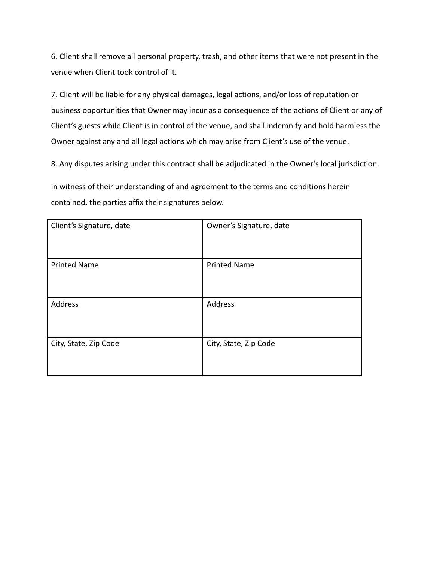6. Client shall remove all personal property, trash, and other items that were not present in the venue when Client took control of it.

7. Client will be liable for any physical damages, legal actions, and/or loss of reputation or business opportunities that Owner may incur as a consequence of the actions of Client or any of Client's guests while Client is in control of the venue, and shall indemnify and hold harmless the Owner against any and all legal actions which may arise from Client's use of the venue.

8. Any disputes arising under this contract shall be adjudicated in the Owner's local jurisdiction.

In witness of their understanding of and agreement to the terms and conditions herein contained, the parties affix their signatures below.

| Client's Signature, date | Owner's Signature, date |
|--------------------------|-------------------------|
| <b>Printed Name</b>      | <b>Printed Name</b>     |
| Address                  | Address                 |
| City, State, Zip Code    | City, State, Zip Code   |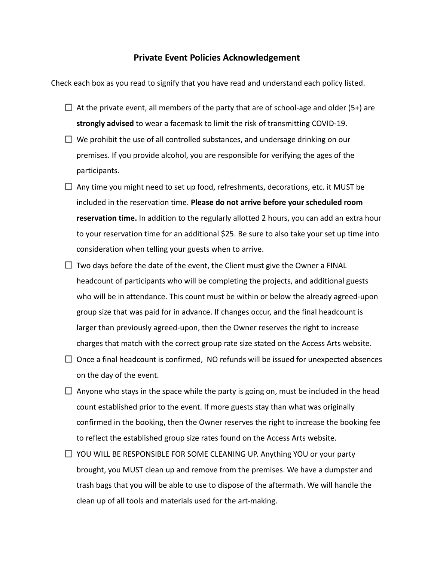## **Private Event Policies Acknowledgement**

Check each box as you read to signify that you have read and understand each policy listed.

- $\Box$  At the private event, all members of the party that are of school-age and older (5+) are **strongly advised** to wear a facemask to limit the risk of transmitting COVID-19.
- $\Box$  We prohibit the use of all controlled substances, and undersage drinking on our premises. If you provide alcohol, you are responsible for verifying the ages of the participants.
- $\Box$  Any time you might need to set up food, refreshments, decorations, etc. it MUST be included in the reservation time. **Please do not arrive before your scheduled room reservation time.** In addition to the regularly allotted 2 hours, you can add an extra hour to your reservation time for an additional \$25. Be sure to also take your set up time into consideration when telling your guests when to arrive.
- $\Box$  Two days before the date of the event, the Client must give the Owner a FINAL headcount of participants who will be completing the projects, and additional guests who will be in attendance. This count must be within or below the already agreed-upon group size that was paid for in advance. If changes occur, and the final headcount is larger than previously agreed-upon, then the Owner reserves the right to increase charges that match with the correct group rate size stated on the Access Arts website.
- $\Box$  Once a final headcount is confirmed, NO refunds will be issued for unexpected absences on the day of the event.
- $\Box$  Anyone who stays in the space while the party is going on, must be included in the head count established prior to the event. If more guests stay than what was originally confirmed in the booking, then the Owner reserves the right to increase the booking fee to reflect the established group size rates found on the Access Arts website.
- $\Box$  YOU WILL BE RESPONSIBLE FOR SOME CLEANING UP. Anything YOU or your party brought, you MUST clean up and remove from the premises. We have a dumpster and trash bags that you will be able to use to dispose of the aftermath. We will handle the clean up of all tools and materials used for the art-making.